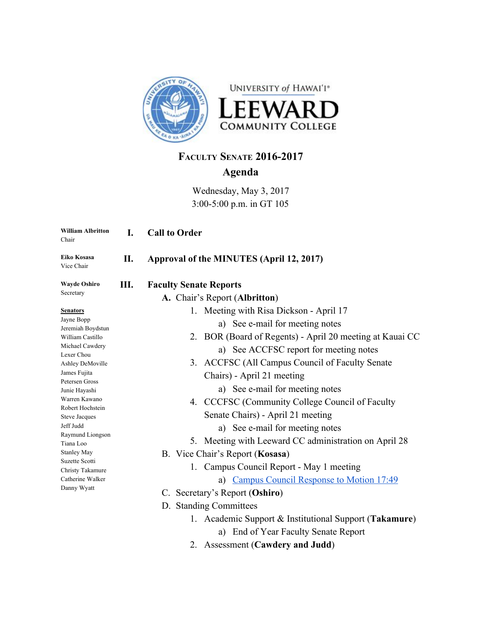

# **FACULTY SENATE 2016-2017 Agenda**

Wednesday, May 3, 2017 3:00-5:00 p.m. in GT 105

| <b>William Albritton</b><br>Chair  | I. | <b>Call to Order</b>                                     |
|------------------------------------|----|----------------------------------------------------------|
| Eiko Kosasa<br>Vice Chair          | П. | Approval of the MINUTES (April 12, 2017)                 |
| <b>Wayde Oshiro</b>                | Ш. | <b>Faculty Senate Reports</b>                            |
| Secretary                          |    | A. Chair's Report (Albritton)                            |
| <b>Senators</b>                    |    | 1. Meeting with Risa Dickson - April 17                  |
| Jayne Bopp<br>Jeremiah Boydstun    |    | a) See e-mail for meeting notes                          |
| William Castillo                   |    | 2. BOR (Board of Regents) - April 20 meeting at Kauai CC |
| Michael Cawdery                    |    | a) See ACCFSC report for meeting notes                   |
| Lexer Chou<br>Ashley DeMoville     |    | 3. ACCFSC (All Campus Council of Faculty Senate          |
| James Fujita                       |    | Chairs) - April 21 meeting                               |
| Petersen Gross                     |    | a) See e-mail for meeting notes                          |
| Junie Hayashi<br>Warren Kawano     |    |                                                          |
| Robert Hochstein                   |    | 4. CCCFSC (Community College Council of Faculty          |
| Steve Jacques                      |    | Senate Chairs) - April 21 meeting                        |
| Jeff Judd                          |    | a) See e-mail for meeting notes                          |
| Raymund Liongson<br>Tiana Loo      |    | 5. Meeting with Leeward CC administration on April 28    |
| <b>Stanley May</b>                 |    | B. Vice Chair's Report (Kosasa)                          |
| Suzette Scotti<br>Christy Takamure |    | 1. Campus Council Report - May 1 meeting                 |
| Catherine Walker                   |    | a) Campus Council Response to Motion 17:49               |
| Danny Wyatt                        |    | C. Secretary's Report (Oshiro)                           |
|                                    |    |                                                          |
|                                    |    | D. Standing Committees                                   |
|                                    |    | 1. Academic Support & Institutional Support (Takamure)   |
|                                    |    | a) End of Year Faculty Senate Report                     |
|                                    |    |                                                          |

2. Assessment (**Cawdery and Judd**)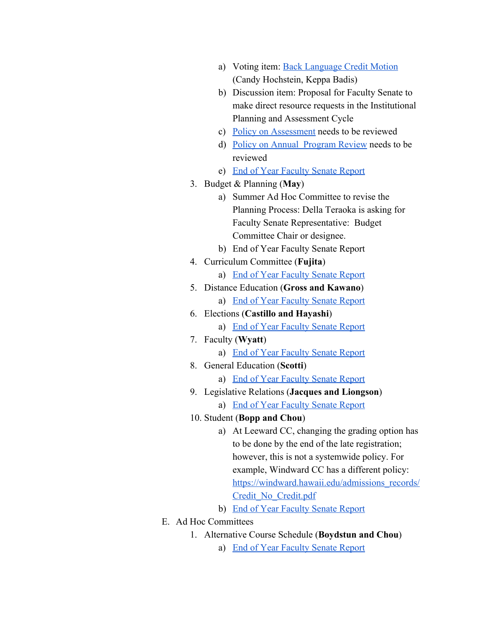- a) Voting item: [Back Language Credit Motion](http://www2.leeward.hawaii.edu/facultysenate/sites/default/files/assessment_committee_back_language_credit_revisions_faculty_senate_motion_0.pdf) (Candy Hochstein, Keppa Badis)
- b) Discussion item: Proposal for Faculty Senate to make direct resource requests in the Institutional Planning and Assessment Cycle
- c) [Policy on Assessment](http://www.leeward.hawaii.edu/files/L5.210PolicyonAssessment.pdf) needs to be reviewed
- d) [Policy on Annual Program Review](http://www.leeward.hawaii.edu/files/L5.202_Policy_on_Annual_Program_Review.pdf) needs to be reviewed
- e) [End of Year Faculty Senate Report](http://www2.leeward.hawaii.edu/facultysenate/sites/default/files/assessment_committee_annual_report_2016-2017.pdf)
- 3. Budget & Planning (**May**)
	- a) Summer Ad Hoc Committee to revise the Planning Process: Della Teraoka is asking for Faculty Senate Representative: Budget Committee Chair or designee.
	- b) End of Year Faculty Senate Report
- 4. Curriculum Committee (**Fujita**)
	- a) [End of Year Faculty Senate Report](http://www2.leeward.hawaii.edu/facultysenate/sites/default/files/curriculum_committee_year-end_report_2016-2017.pdf)
- 5. Distance Education (**Gross and Kawano**) a) [End of Year Faculty Senate Report](http://www2.leeward.hawaii.edu/facultysenate/sites/default/files/de_committee_report_2016-2017.pdf)
- 6. Elections (**Castillo and Hayashi**) a) [End of Year Faculty Senate Report](http://www2.leeward.hawaii.edu/facultysenate/sites/default/files/electionscommitteereport2017.pdf)
- 7. Faculty (**Wyatt**)
	- a) [End of Year Faculty Senate Report](http://www2.leeward.hawaii.edu/facultysenate/sites/default/files/leeward_cc_faculty_committee_final_report_5.3.17.pdf)
- 8. General Education (**Scotti**)
	- a) [End of Year Faculty Senate Report](http://www2.leeward.hawaii.edu/facultysenate/sites/default/files/general_education_report_for_2016-2017.pdf)
- 9. Legislative Relations (**Jacques and Liongson**)
	- a) [End of Year Faculty Senate Report](https://drive.google.com/file/d/0B8cCHxHHk2c_NUJiZ3dWclYtM2c/view)
- 10. Student (**Bopp and Chou**)
	- a) At Leeward CC, changing the grading option has to be done by the end of the late registration; however, this is not a systemwide policy. For example, Windward CC has a different policy: [https://windward.hawaii.edu/admissions\\_records/](https://windward.hawaii.edu/admissions_records/Credit_No_Credit.pdf) [Credit\\_No\\_Credit.pdf](https://windward.hawaii.edu/admissions_records/Credit_No_Credit.pdf)
	- b) [End of Year Faculty Senate Report](http://www2.leeward.hawaii.edu/facultysenate/sites/default/files/facultysenatestudentaffairscommitteereport.pdf)
- E. Ad Hoc Committees
	- 1. Alternative Course Schedule (**Boydstun and Chou**)
		- a) [End of Year Faculty Senate Report](http://www2.leeward.hawaii.edu/facultysenate/sites/default/files/alternativeschedulecommitteeendofyearfacultysenatereport2017.pdf)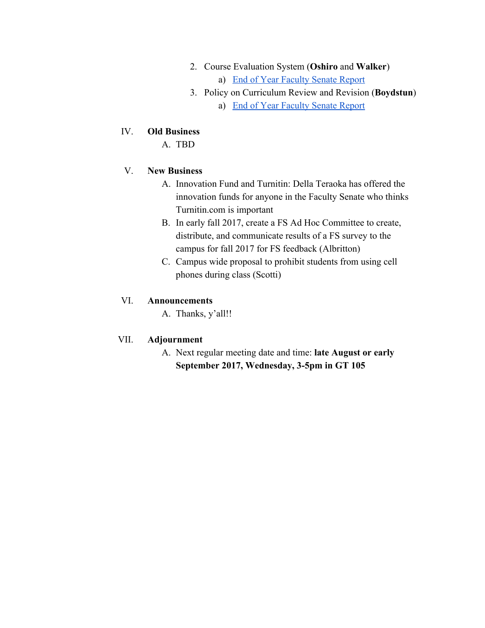- 2. Course Evaluation System (**Oshiro** and **Walker**) a) [End of Year Faculty Senate Report](http://www2.leeward.hawaii.edu/facultysenate/sites/default/files/2016-17year-end-report-ces-committee_0.pdf)
- 3. Policy on Curriculum Review and Revision (**Boydstun**)
	- a) [End of Year Faculty Senate Report](http://www2.leeward.hawaii.edu/facultysenate/sites/default/files/committeeonpolicyoncurriculumreviewandrevision2017annualreport.pdf)

#### IV. **Old Business**

A. TBD

#### V. **New Business**

- A. Innovation Fund and Turnitin: Della Teraoka has offered the innovation funds for anyone in the Faculty Senate who thinks Turnitin.com is important
- B. In early fall 2017, create a FS Ad Hoc Committee to create, distribute, and communicate results of a FS survey to the campus for fall 2017 for FS feedback (Albritton)
- C. Campus wide proposal to prohibit students from using cell phones during class (Scotti)

### VI. **Announcements**

A. Thanks, y'all!!

## VII. **Adjournment**

A. Next regular meeting date and time: **late August or early September 2017, Wednesday, 3-5pm in GT 105**